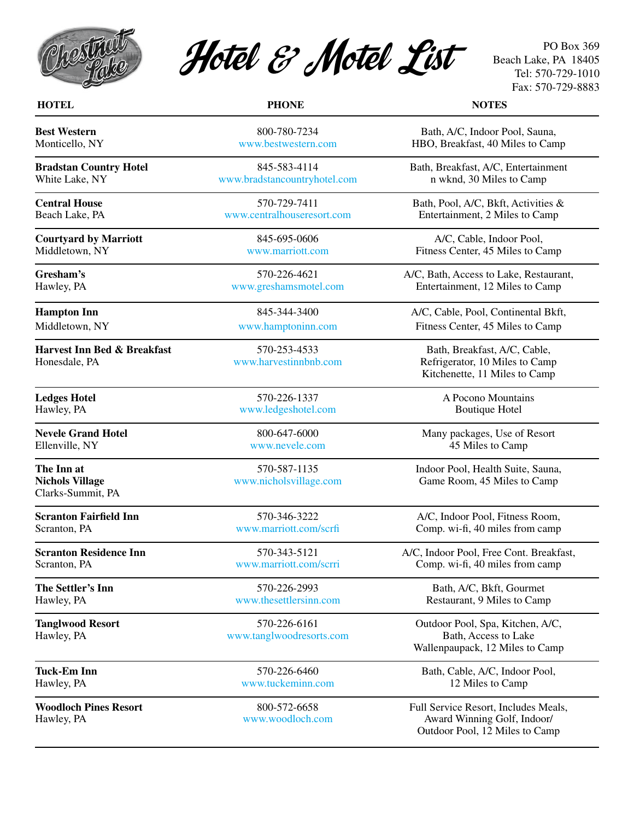



PO Box 369 Beach Lake, PA 18405 Tel: 570-729-1010 Fax: 570-729-8883

| <b>HOTEL</b>                                              | <b>PHONE</b>                             | <b>NOTES</b>                                                                                          |
|-----------------------------------------------------------|------------------------------------------|-------------------------------------------------------------------------------------------------------|
| <b>Best Western</b>                                       | 800-780-7234                             | Bath, A/C, Indoor Pool, Sauna,                                                                        |
| Monticello, NY                                            | www.bestwestern.com                      | HBO, Breakfast, 40 Miles to Camp                                                                      |
| <b>Bradstan Country Hotel</b>                             | 845-583-4114                             | Bath, Breakfast, A/C, Entertainment                                                                   |
| White Lake, NY                                            | www.bradstancountryhotel.com             | n wknd, 30 Miles to Camp                                                                              |
| <b>Central House</b>                                      | 570-729-7411                             | Bath, Pool, A/C, Bkft, Activities &                                                                   |
| Beach Lake, PA                                            | www.centralhouseresort.com               | Entertainment, 2 Miles to Camp                                                                        |
| <b>Courtyard by Marriott</b>                              | 845-695-0606                             | A/C, Cable, Indoor Pool,                                                                              |
| Middletown, NY                                            | www.marriott.com                         | Fitness Center, 45 Miles to Camp                                                                      |
| Gresham's                                                 | 570-226-4621                             | A/C, Bath, Access to Lake, Restaurant,                                                                |
| Hawley, PA                                                | www.greshamsmotel.com                    | Entertainment, 12 Miles to Camp                                                                       |
| <b>Hampton Inn</b>                                        | 845-344-3400                             | A/C, Cable, Pool, Continental Bkft,                                                                   |
| Middletown, NY                                            | www.hamptoninn.com                       | Fitness Center, 45 Miles to Camp                                                                      |
| <b>Harvest Inn Bed &amp; Breakfast</b><br>Honesdale, PA   | 570-253-4533<br>www.harvestinnbnb.com    | Bath, Breakfast, A/C, Cable,<br>Refrigerator, 10 Miles to Camp<br>Kitchenette, 11 Miles to Camp       |
| <b>Ledges Hotel</b>                                       | 570-226-1337                             | A Pocono Mountains                                                                                    |
| Hawley, PA                                                | www.ledgeshotel.com                      | <b>Boutique Hotel</b>                                                                                 |
| <b>Nevele Grand Hotel</b>                                 | 800-647-6000                             | Many packages, Use of Resort                                                                          |
| Ellenville, NY                                            | www.nevele.com                           | 45 Miles to Camp                                                                                      |
| The Inn at<br><b>Nichols Village</b><br>Clarks-Summit, PA | 570-587-1135<br>www.nicholsvillage.com   | Indoor Pool, Health Suite, Sauna,<br>Game Room, 45 Miles to Camp                                      |
| <b>Scranton Fairfield Inn</b>                             | 570-346-3222                             | A/C, Indoor Pool, Fitness Room,                                                                       |
| Scranton, PA                                              | www.marriott.com/scrfi                   | Comp. wi-fi, 40 miles from camp                                                                       |
| <b>Scranton Residence Inn</b>                             | 570-343-5121                             | A/C, Indoor Pool, Free Cont. Breakfast,                                                               |
| Scranton, PA                                              | www.marriott.com/scrri                   | Comp. wi-fi, 40 miles from camp                                                                       |
| The Settler's Inn                                         | 570-226-2993                             | Bath, A/C, Bkft, Gourmet                                                                              |
| Hawley, PA                                                | www.thesettlersinn.com                   | Restaurant, 9 Miles to Camp                                                                           |
| <b>Tanglwood Resort</b><br>Hawley, PA                     | 570-226-6161<br>www.tanglwoodresorts.com | Outdoor Pool, Spa, Kitchen, A/C,<br>Bath, Access to Lake<br>Wallenpaupack, 12 Miles to Camp           |
| <b>Tuck-Em Inn</b>                                        | 570-226-6460                             | Bath, Cable, A/C, Indoor Pool,                                                                        |
| Hawley, PA                                                | www.tuckeminn.com                        | 12 Miles to Camp                                                                                      |
| <b>Woodloch Pines Resort</b><br>Hawley, PA                | 800-572-6658<br>www.woodloch.com         | Full Service Resort, Includes Meals,<br>Award Winning Golf, Indoor/<br>Outdoor Pool, 12 Miles to Camp |